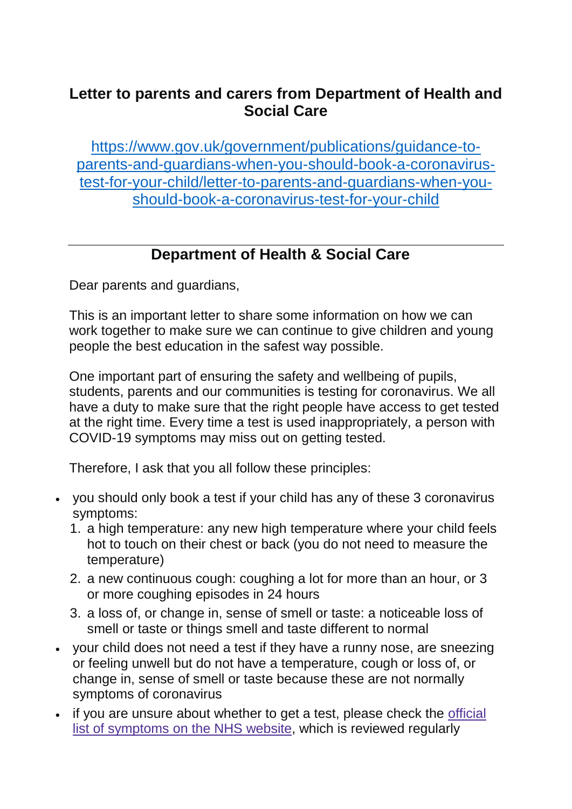## **Letter to parents and carers from Department of Health and Social Care**

[https://www.gov.uk/government/publications/guidance-to](https://www.gov.uk/government/publications/guidance-to-parents-and-guardians-when-you-should-book-a-coronavirus-test-for-your-child/letter-to-parents-and-guardians-when-you-should-book-a-coronavirus-test-for-your-child)[parents-and-guardians-when-you-should-book-a-coronavirus](https://www.gov.uk/government/publications/guidance-to-parents-and-guardians-when-you-should-book-a-coronavirus-test-for-your-child/letter-to-parents-and-guardians-when-you-should-book-a-coronavirus-test-for-your-child)[test-for-your-child/letter-to-parents-and-guardians-when-you](https://www.gov.uk/government/publications/guidance-to-parents-and-guardians-when-you-should-book-a-coronavirus-test-for-your-child/letter-to-parents-and-guardians-when-you-should-book-a-coronavirus-test-for-your-child)[should-book-a-coronavirus-test-for-your-child](https://www.gov.uk/government/publications/guidance-to-parents-and-guardians-when-you-should-book-a-coronavirus-test-for-your-child/letter-to-parents-and-guardians-when-you-should-book-a-coronavirus-test-for-your-child)

## **[Department](https://www.gov.uk/government/organisations/department-of-health-and-social-care) of Health & Social Care**

Dear parents and guardians,

This is an important letter to share some information on how we can work together to make sure we can continue to give children and young people the best education in the safest way possible.

One important part of ensuring the safety and wellbeing of pupils, students, parents and our communities is testing for coronavirus. We all have a duty to make sure that the right people have access to get tested at the right time. Every time a test is used inappropriately, a person with COVID-19 symptoms may miss out on getting tested.

Therefore, I ask that you all follow these principles:

- you should only book a test if your child has any of these 3 coronavirus symptoms:
	- 1. a high temperature: any new high temperature where your child feels hot to touch on their chest or back (you do not need to measure the temperature)
	- 2. a new continuous cough: coughing a lot for more than an hour, or 3 or more coughing episodes in 24 hours
	- 3. a loss of, or change in, sense of smell or taste: a noticeable loss of smell or taste or things smell and taste different to normal
- your child does not need a test if they have a runny nose, are sneezing or feeling unwell but do not have a temperature, cough or loss of, or change in, sense of smell or taste because these are not normally symptoms of coronavirus
- if you are unsure about whether to get a test, please check the [official](https://www.nhs.uk/conditions/coronavirus-covid-19/symptoms/) list of [symptoms](https://www.nhs.uk/conditions/coronavirus-covid-19/symptoms/) on the NHS website, which is reviewed regularly